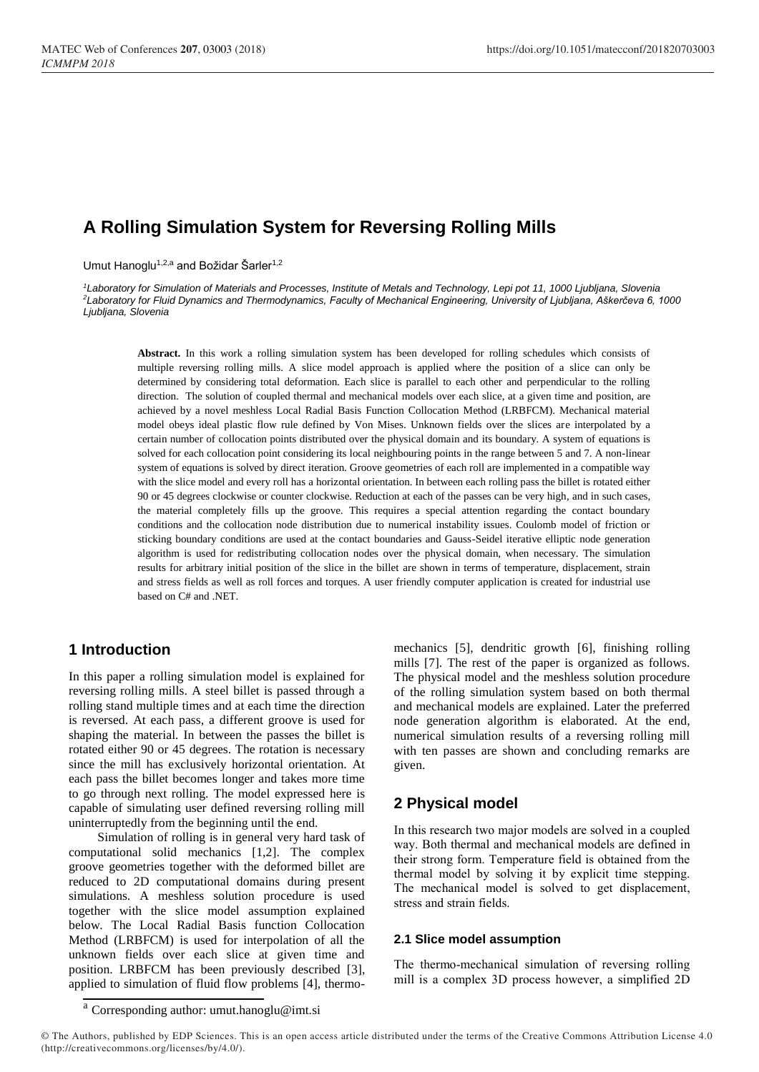# **A Rolling Simulation System for Reversing Rolling Mills**

Umut Hanoglu<sup>1,2,a</sup> and Božidar Šarler<sup>1,2</sup>

*<sup>1</sup>Laboratory for Simulation of Materials and Processes, Institute of Metals and Technology, Lepi pot 11, 1000 Ljubljana, Slovenia <sup>2</sup>Laboratory for Fluid Dynamics and Thermodynamics, Faculty of Mechanical Engineering, University of Ljubljana, Aškerčeva 6, 1000 Ljubljana, Slovenia*

**Abstract.** In this work a rolling simulation system has been developed for rolling schedules which consists of multiple reversing rolling mills. A slice model approach is applied where the position of a slice can only be determined by considering total deformation. Each slice is parallel to each other and perpendicular to the rolling direction. The solution of coupled thermal and mechanical models over each slice, at a given time and position, are achieved by a novel meshless Local Radial Basis Function Collocation Method (LRBFCM). Mechanical material model obeys ideal plastic flow rule defined by Von Mises. Unknown fields over the slices are interpolated by a certain number of collocation points distributed over the physical domain and its boundary. A system of equations is solved for each collocation point considering its local neighbouring points in the range between 5 and 7. A non-linear system of equations is solved by direct iteration. Groove geometries of each roll are implemented in a compatible way with the slice model and every roll has a horizontal orientation. In between each rolling pass the billet is rotated either 90 or 45 degrees clockwise or counter clockwise. Reduction at each of the passes can be very high, and in such cases, the material completely fills up the groove. This requires a special attention regarding the contact boundary conditions and the collocation node distribution due to numerical instability issues. Coulomb model of friction or sticking boundary conditions are used at the contact boundaries and Gauss-Seidel iterative elliptic node generation algorithm is used for redistributing collocation nodes over the physical domain, when necessary. The simulation results for arbitrary initial position of the slice in the billet are shown in terms of temperature, displacement, strain and stress fields as well as roll forces and torques. A user friendly computer application is created for industrial use based on C# and .NET.

### **1 Introduction**

In this paper a rolling simulation model is explained for reversing rolling mills. A steel billet is passed through a rolling stand multiple times and at each time the direction is reversed. At each pass, a different groove is used for shaping the material. In between the passes the billet is rotated either 90 or 45 degrees. The rotation is necessary since the mill has exclusively horizontal orientation. At each pass the billet becomes longer and takes more time to go through next rolling. The model expressed here is capable of simulating user defined reversing rolling mill uninterruptedly from the beginning until the end.

Simulation of rolling is in general very hard task of computational solid mechanics [1,2]. The complex groove geometries together with the deformed billet are reduced to 2D computational domains during present simulations. A meshless solution procedure is used together with the slice model assumption explained below. The Local Radial Basis function Collocation Method (LRBFCM) is used for interpolation of all the unknown fields over each slice at given time and position. LRBFCM has been previously described [3], applied to simulation of fluid flow problems [4], thermomechanics [5], dendritic growth [6], finishing rolling mills [7]. The rest of the paper is organized as follows. The physical model and the meshless solution procedure of the rolling simulation system based on both thermal and mechanical models are explained. Later the preferred node generation algorithm is elaborated. At the end, numerical simulation results of a reversing rolling mill with ten passes are shown and concluding remarks are given.

# **2 Physical model**

In this research two major models are solved in a coupled way. Both thermal and mechanical models are defined in their strong form. Temperature field is obtained from the thermal model by solving it by explicit time stepping. The mechanical model is solved to get displacement, stress and strain fields.

#### **2.1 Slice model assumption**

The thermo-mechanical simulation of reversing rolling mill is a complex 3D process however, a simplified 2D

<sup>a</sup> Corresponding author: umut.hanoglu@imt.si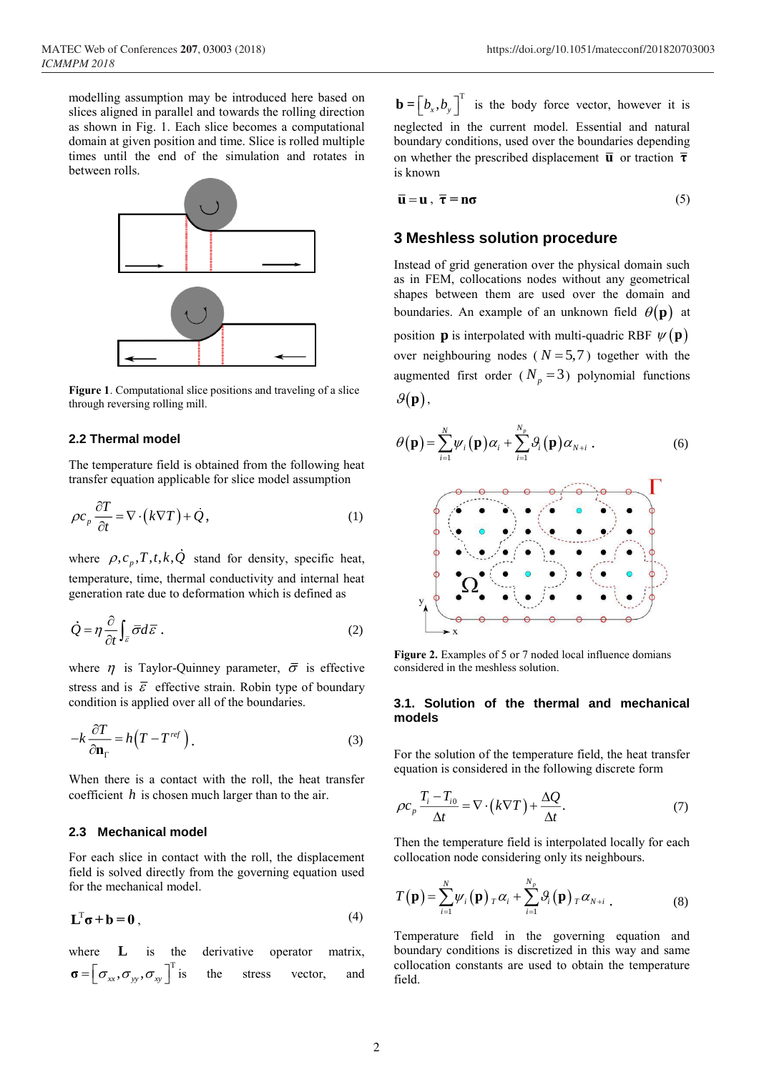modelling assumption may be introduced here based on slices aligned in parallel and towards the rolling direction as shown in Fig. 1. Each slice becomes a computational domain at given position and time. Slice is rolled multiple times until the end of the simulation and rotates in between rolls.



**Figure 1**. Computational slice positions and traveling of a slice through reversing rolling mill.

#### **2.2 Thermal model**

The temperature field is obtained from the following heat transfer equation applicable for slice model assumption

$$
\rho c_p \frac{\partial T}{\partial t} = \nabla \cdot (k \nabla T) + \dot{Q}, \qquad (1)
$$

where  $\rho, c_p, T, t, k, Q$  stand for density, specific heat, temperature, time, thermal conductivity and internal heat generation rate due to deformation which is defined as

$$
\dot{Q} = \eta \frac{\partial}{\partial t} \int_{\bar{\varepsilon}} \bar{\sigma} d\bar{\varepsilon} . \tag{2}
$$

where  $\eta$  is Taylor-Quinney parameter,  $\bar{\sigma}$  is effective stress and is  $\overline{\varepsilon}$  effective strain. Robin type of boundary condition is applied over all of the boundaries.

$$
-k\frac{\partial T}{\partial \mathbf{n}_{\Gamma}} = h\big(T - T^{\text{ref}}\big).
$$
 (3)

When there is a contact with the roll, the heat transfer coefficient  $h$  is chosen much larger than to the air.

#### **2.3 Mechanical model**

For each slice in contact with the roll, the displacement field is solved directly from the governing equation used for the mechanical model.

$$
\mathbf{L}^{\mathrm{T}}\mathbf{\sigma} + \mathbf{b} = \mathbf{0},\tag{4}
$$

where **L** is the derivative operator matrix,  $\boldsymbol{\sigma} = \bigr[\!\left[ \,\sigma_{_{\boldsymbol{x}\boldsymbol{x}}}, \sigma_{_{\boldsymbol{y}\boldsymbol{y}}}, \sigma_{_{\boldsymbol{x}\boldsymbol{y}}}\,\bigr]\!\bigr]^{\!\mathrm{T}}$ the stress vector, and

T  $\mathbf{b} = \begin{bmatrix} b_x, b_y \end{bmatrix}$  is the body force vector, however it is neglected in the current model. Essential and natural boundary conditions, used over the boundaries depending on whether the prescribed displacement  $\overline{u}$  or traction  $\overline{\tau}$ is known

$$
\overline{\mathbf{u}} = \mathbf{u}, \ \overline{\boldsymbol{\tau}} = \mathbf{n}\boldsymbol{\sigma} \tag{5}
$$

#### **3 Meshless solution procedure**

Instead of grid generation over the physical domain such as in FEM, collocations nodes without any geometrical shapes between them are used over the domain and boundaries. An example of an unknown field  $\theta(\mathbf{p})$  at position **p** is interpolated with multi-quadric RBF  $\psi(\mathbf{p})$ over neighbouring nodes  $(N=5,7)$  together with the augmented first order  $(N_p = 3)$  polynomial functions  $\mathcal{G}(\mathbf{p}),$ 

$$
\theta(\mathbf{p}) = \sum_{i=1}^{N} \psi_i(\mathbf{p}) \alpha_i + \sum_{i=1}^{N_p} \mathcal{G}_i(\mathbf{p}) \alpha_{N+i} .
$$
 (6)



**Figure 2.** Examples of 5 or 7 noded local influence domians considered in the meshless solution.

#### **3.1. Solution of the thermal and mechanical models**

For the solution of the temperature field, the heat transfer equation is considered in the following discrete form

$$
\rho c_p \frac{T_i - T_{i0}}{\Delta t} = \nabla \cdot (k \nabla T) + \frac{\Delta Q}{\Delta t}.
$$
\n(7)

Then the temperature field is interpolated locally for each collocation node considering only its neighbours.

$$
T(\mathbf{p}) = \sum_{i=1}^{N} \psi_i(\mathbf{p})_T \alpha_i + \sum_{i=1}^{N_p} \mathcal{G}_i(\mathbf{p})_T \alpha_{N+i} \tag{8}
$$

Temperature field in the governing equation and boundary conditions is discretized in this way and same collocation constants are used to obtain the temperature field.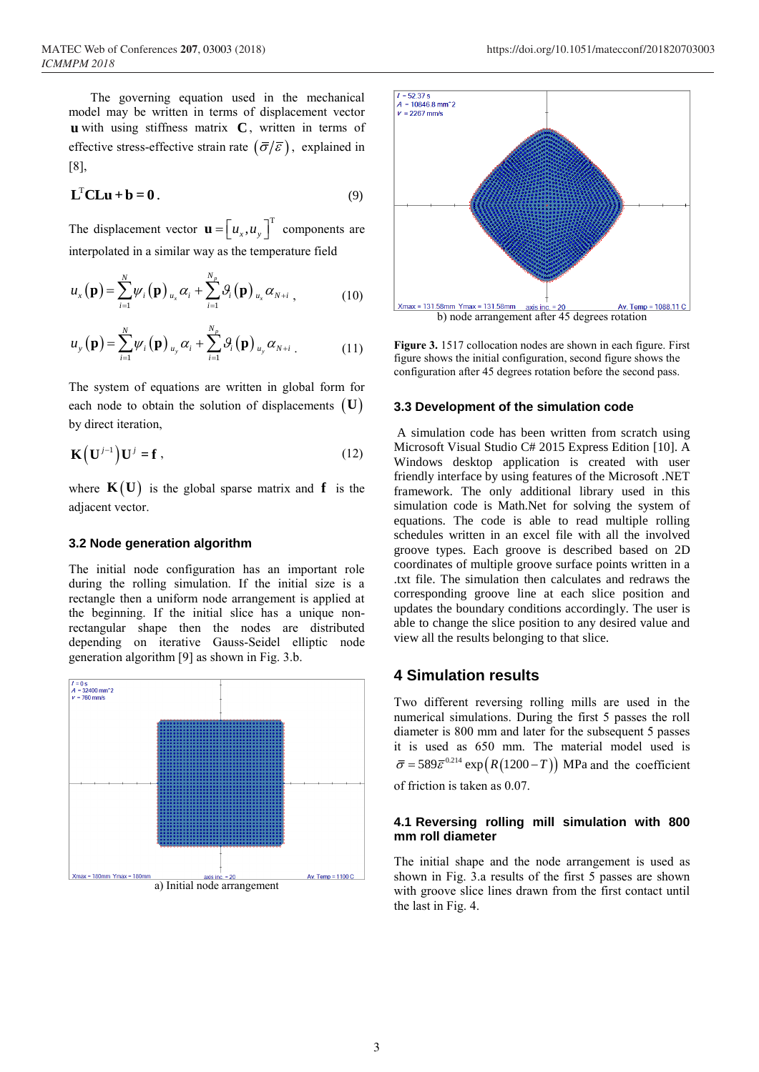The governing equation used in the mechanical model may be written in terms of displacement vector **u** with using stiffness matrix **C** , written in terms of effective stress-effective strain rate  $(\bar{\sigma}/\bar{\varepsilon})$ , explained in [8],

$$
\mathbf{L}^{\mathrm{T}}\mathbf{C}\mathbf{L}\mathbf{u} + \mathbf{b} = \mathbf{0}.
$$
 (9)

The displacement vector  $\mathbf{u} = \begin{bmatrix} u_x, u_y \end{bmatrix}^T$  components are interpolated in a similar way as the temperature field

$$
u_{x}(\mathbf{p}) = \sum_{i=1}^{N} \psi_{i}(\mathbf{p})_{u_{x}} \alpha_{i} + \sum_{i=1}^{N_{p}} \mathcal{G}_{i}(\mathbf{p})_{u_{x}} \alpha_{N+i} , \qquad (10)
$$

$$
u_{y}(\mathbf{p}) = \sum_{i=1}^{N} \psi_{i}(\mathbf{p})_{u_{y}} \alpha_{i} + \sum_{i=1}^{N_{p}} \mathcal{G}_{i}(\mathbf{p})_{u_{y}} \alpha_{N+i} \qquad (11)
$$

The system of equations are written in global form for each node to obtain the solution of displacements (U) by direct iteration,

$$
\mathbf{K}\left(\mathbf{U}^{j-1}\right)\mathbf{U}^{j}=\mathbf{f}\,,\tag{12}
$$

where  $\mathbf{K}(\mathbf{U})$  is the global sparse matrix and  $\mathbf{f}$  is the adjacent vector.

#### **3.2 Node generation algorithm**

The initial node configuration has an important role during the rolling simulation. If the initial size is a rectangle then a uniform node arrangement is applied at the beginning. If the initial slice has a unique nonrectangular shape then the nodes are distributed depending on iterative Gauss-Seidel elliptic node generation algorithm [9] as shown in Fig. 3.b.





**Figure 3.** 1517 collocation nodes are shown in each figure. First figure shows the initial configuration, second figure shows the configuration after 45 degrees rotation before the second pass.

#### **3.3 Development of the simulation code**

A simulation code has been written from scratch using Microsoft Visual Studio C# 2015 Express Edition [10]. A Windows desktop application is created with user friendly interface by using features of the Microsoft .NET framework. The only additional library used in this simulation code is Math.Net for solving the system of equations. The code is able to read multiple rolling schedules written in an excel file with all the involved groove types. Each groove is described based on 2D coordinates of multiple groove surface points written in a .txt file. The simulation then calculates and redraws the corresponding groove line at each slice position and updates the boundary conditions accordingly. The user is able to change the slice position to any desired value and view all the results belonging to that slice.

### **4 Simulation results**

Two different reversing rolling mills are used in the numerical simulations. During the first 5 passes the roll diameter is 800 mm and later for the subsequent 5 passes it is used as 650 mm. The material model used is  $\bar{\sigma} = 589 \bar{\varepsilon}^{0.214} \exp\left(R(1200 - T)\right)$  MPa and the coefficient of friction is taken as 0.07.

#### **4.1 Reversing rolling mill simulation with 800 mm roll diameter**

The initial shape and the node arrangement is used as shown in Fig. 3.a results of the first 5 passes are shown with groove slice lines drawn from the first contact until the last in Fig. 4.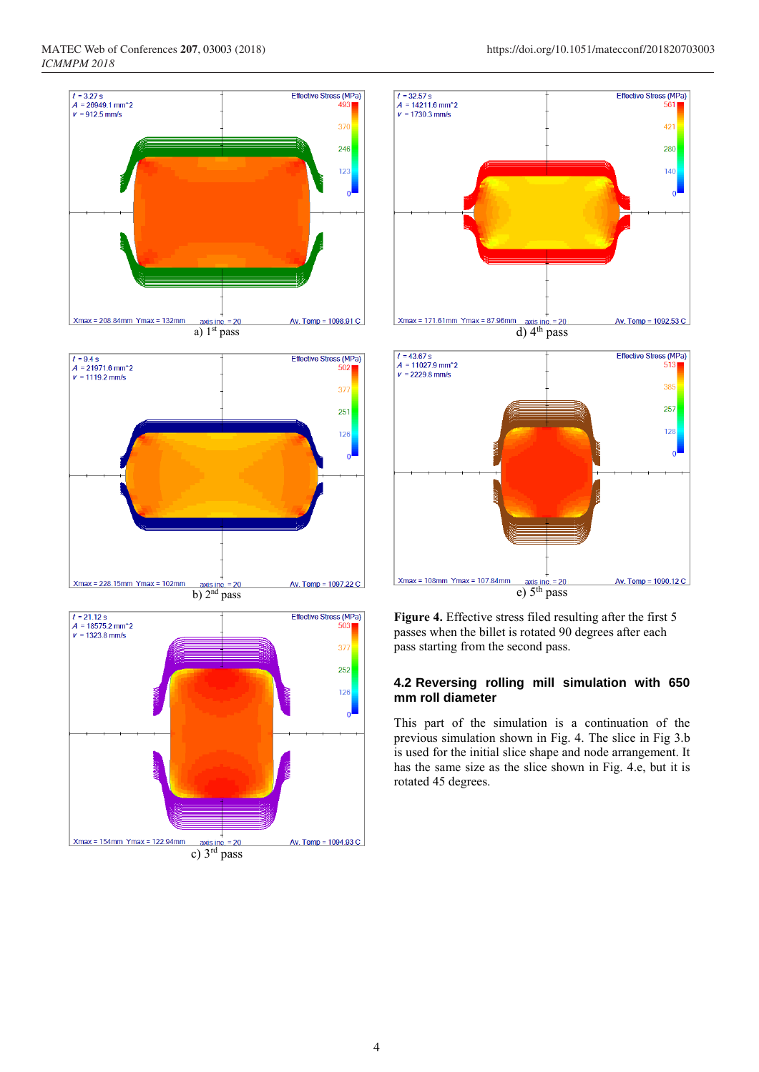







**Figure 4.** Effective stress filed resulting after the first 5 passes when the billet is rotated 90 degrees after each pass starting from the second pass.

#### **4.2 Reversing rolling mill simulation with 650 mm roll diameter**

This part of the simulation is a continuation of the previous simulation shown in Fig. 4. The slice in Fig 3.b is used for the initial slice shape and node arrangement. It has the same size as the slice shown in Fig. 4.e, but it is rotated 45 degrees.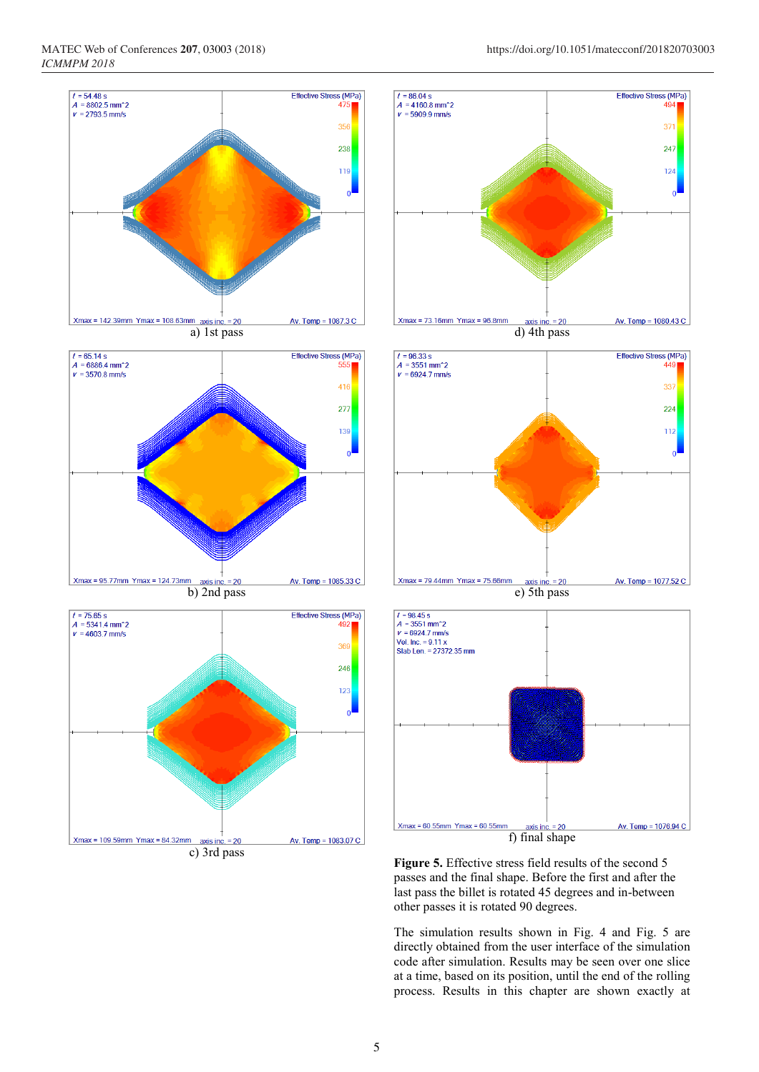













f) final shape

**Figure 5.** Effective stress field results of the second 5 passes and the final shape. Before the first and after the last pass the billet is rotated 45 degrees and in-between other passes it is rotated 90 degrees.

The simulation results shown in Fig. 4 and Fig. 5 are directly obtained from the user interface of the simulation code after simulation. Results may be seen over one slice at a time, based on its position, until the end of the rolling process. Results in this chapter are shown exactly at